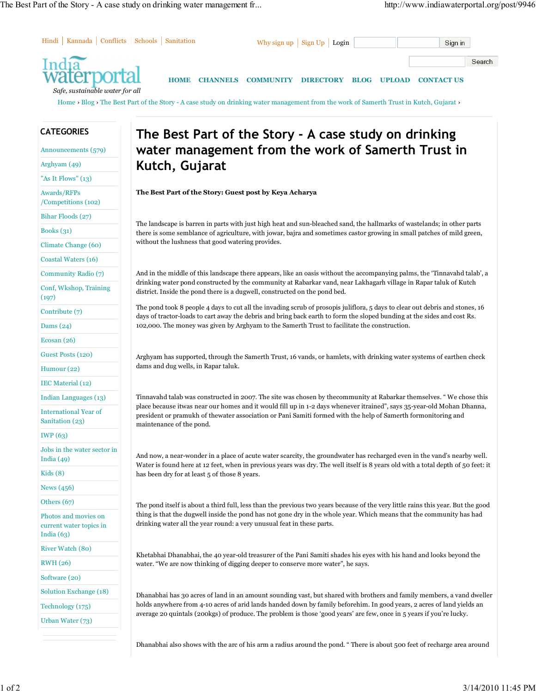

The pond itself is about a third full, less than the previous two years because of the very little rains this year. But the good thing is that the dugwell inside the pond has not gone dry in the whole year. Which means that the community has had drinking water all the year round: a very unusual feat in these parts.

Khetabhai Dhanabhai, the 40 year-old treasurer of the Pani Samiti shades his eyes with his hand and looks beyond the water. "We are now thinking of digging deeper to conserve more water", he says.

Dhanabhai has 30 acres of land in an amount sounding vast, but shared with brothers and family members, a vand dweller holds anywhere from 4-10 acres of arid lands handed down by family beforehim. In good years, 2 acres of land yields an average 20 quintals (200kgs) of produce. The problem is those 'good years' are few, once in 5 years if you're lucky.

Dhanabhai also shows with the arc of his arm a radius around the pond. " There is about 500 feet of recharge area around

News (456) Others (67)

India (63)

RWH (26) Software (20)

Photos and movies on current water topics in

Solution Exchange (18) Technology (175) Urban Water (73)

River Watch (80)